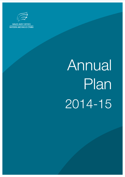

**WALES AUDIT OFFICE SWYDDFA ARCHWILIO CYMRU** 

# Annual Plan 2014-15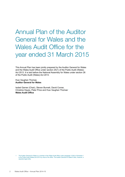# Annual Plan of the Auditor General for Wales and the Wales Audit Office for the year ended 31 March 2015

This Annual Plan has been jointly prepared by the Auditor General for Wales and the Wales Audit Office under section 25(1) of the Public Audit (Wales) Act 2013. It is laid before the National Assembly for Wales under section 26 of the Public Audit (Wales) Act 2013.

Huw Vaughan Thomas **Auditor General for Wales**

Isobel Garner (Chair), Steven Burnett, David Corner, Christine Hayes, Peter Price and Huw Vaughan Thomas<sup>1</sup> **Wales Audit Office**

The Auditor General for Wales is a member of the Wales Audit Office under paragraph 1(2)(b) of Schedule 1 to the Public Audit (Wales) Act 2013 by virtue of his office. The Auditor General for Wales is also, however, a separate legal entity.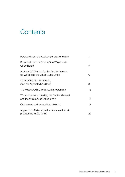# **Contents**

| Foreword from the Auditor General for Wales                                        | 4  |
|------------------------------------------------------------------------------------|----|
| Foreword from the Chair of the Wales Audit<br>Office Board                         | 5  |
| Strategy 2013-2016 for the Auditor General<br>for Wales and the Wales Audit Office | 6  |
| Work of the Auditor General<br>(and his Appointed Auditors)                        | 8  |
| The Wales Audit Office's work programme                                            | 13 |
| Work to be conducted by the Auditor General<br>and the Wales Audit Office jointly  | 16 |
| Our income and expenditure 2014-15                                                 | 17 |
| Appendix 1: National performance audit work<br>programme for 2014-15               | 22 |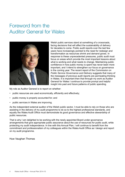# Foreword from the Auditor General for Wales



Welsh public services stand at something of a crossroads, facing decisions that will affect the sustainability of delivery for decades to come. Public audit reports over the last few years have increasingly pointed to the need for redesign and transformation as resources shrink and demand grows. In response to these unprecedented pressures, public audit must focus on areas which provide the most important lessons about what is working and what needs to change. Maintaining public confidence in how public money is spent has never been more important, and I intend to strengthen our focus on governance in the coming year. The recent report of the *Commission on Public Service Governance and Delivery* suggests that many of the messages of previous audit reports are permeating thinking in Wales. It is important then that through my work as Auditor General for Wales I continue to provide prompt and helpful insight into past and future patterns of public spending.

My role as Auditor General is to report on whether:

- public resources are used economically, efficiently and effectively;
- public money is properly accounted for; and
- public services in Wales are improving.

As the independent external auditor of the Welsh public sector, I must be able to rely on those who are assisting in the delivery of my audit programme to do so to the highest professional standards, and equally the Wales Audit Office must demonstrate its good governance and effective stewardship of public resources.

That is why I am delighted to be working with the newly appointed Board under governance arrangements that give appropriate public assurance about the use of resources for public audit, while protecting my audit independence. In line with this Annual Plan, I will continue to benefit from the commitment and professionalism of my colleagues within the Wales Audit Office as I design and report on my audit programme.

Huw Vaughan Thomas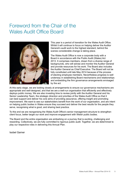# Foreword from the Chair of the Wales Audit Office Board



This year is a period of transition for the Wales Audit Office. Whilst it will continue to focus on helping deliver the Auditor General's audit work to the highest standard, behind the scenes considerable change is taking place.

The Wales Audit Office is now a corporate body with a Board in accordance with the Public Audit (Wales) Act 2013. It comprises members, drawn from a diverse range of backgrounds, who will advise and monitor the Auditor General and provide resources for his work. The Board also includes the Auditor General as Chief Executive. The Board will not be fully constituted until late May 2014 because of the process of electing employee members. Nevertheless progress is well underway in establishing Board mechanisms and relationships and embedding the firm governance arrangements envisaged by the act.

At this early stage, we are looking closely at arrangements to ensure our governance mechanisms are appropriate and well-designed, and that we are a well-run organisation that efficiently and effectively deploys public money. We are also investing time to review jointly with the Auditor General and his Senior Leadership Team, the strategic direction and priorities of the Wales Audit Office so that it can best support and deliver his core aims of providing assurance, offering insight and promoting improvement. We want to see our stakeholders benefit from the work of our organisation, and are intent on helping public bodies in Wales ensure they succeed and deliver the best results for the people they serve, recognising what is good, and sharing best practice.

To this end we are reorganising the Wales Audit Office's senior management structure to strengthen client focus, better target our work and improve engagement with Welsh public bodies.

The Board and the entire organisation are embarking on a journey that is exciting, challenging and rewarding. Collectively, we are fully committed to rigorous public audit. Together, we are determined to play our respective roles in delivering this Annual Plan.

Isobel Garner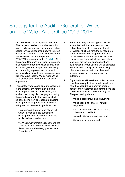# Strategy for the Auditor General for Wales and the Wales Audit Office 2013-2016

- 1 Our overall aim as an organisation is that: 'The people of Wales know whether public money is being managed wisely, and public bodies in Wales understand how to improve outcomes'. This overall aim is supported by four key objectives for the period 2013-2016 as summarised in Exhibit 1. All of the Auditor General's audit work is designed to support the three objectives of providing assurance, offering insight and identifying and promoting improvement. In order to successfully achieve these three objectives it is imperative that the Wales Audit Office is an accountable, well-run and efficient organisation.
- 2 This strategy was based on our assessment of the external environment at the time of its preparation in 2013. However, that environment is rapidly changing and during the period covered by this plan we shall be considering how to respond to ongoing developments. Of particular significance, with potentially far-reaching effects, are:
	- the proposed 'Future Generations Bill' which intends to place sustainable development duties on most devolved public bodies in Wales; and
	- the Welsh Government's response to the Williams' *Commission on Public Service Governance and Delivery* (the Williams Commission).
- 3 In implementing our strategy we will take account of both the principles and the national sustainable development goals for Wales, which will form the key features of the sustainable development duties to be placed on public bodies in Wales. The principles are likely to include: integration, long term prevention, engagement and collaboration. Organisations will be expected to apply these principles when deciding what outcomes to seek to achieve and in decisions about how to achieve the outcomes.
- 4 Organisations will also have to demonstrate how they have prioritised what they do and how they spend their money in order to achieve their outcomes and contribute to the national sustainable development goals. The proposed goals are:
	- Wales is prosperous and innovative;
	- Wales uses a fair share of natural resources;
	- communities across Wales are safe, cohesive and resilient;
	- people in Wales are healthier; and
	- Wales is a more equal nation.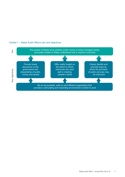

#### Exhibit 1 – Wales Audit Office's aim and objectives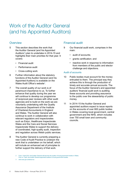# Work of the Auditor General (and his Appointed Auditors)

#### **Overview**

- 5 This section describes the work that the Auditor General (and his Appointed Auditors<sup>2</sup> ) plan to undertake in 2014-15 and highlights their main priorities for that year. It covers:
	- Financial audit
	- Performance audit
	- Cross-cutting work
- 6 Further information about the statutory functions of the Auditor General (and his Appointed Auditors) is available on the Wales Audit Office's website<sup>3</sup>.
- 7 The overall quality of our work is of paramount importance to us. To further enhance that quality during the year we will continue to develop our programme of reciprocal peer reviews with other audit agencies and to build on the work we are voluntarily undertaking with the Quality Assurance Department of the Institute of Chartered Accountants in England and Wales. The Auditor General will also continue to work in collaboration with relevant regulators and inspectorates such as Estyn, Healthcare Inspectorate Wales and the Care and Social Services Inspectorate Wales to support the delivery of coordinated, high-quality audit, inspection and regulation across Welsh public services.
- 8 The Auditor General is currently preparing a new Code of Audit Practice to underpin the work that is undertaken on his behalf, which will include an enhanced set of principles to further support the delivery of that work.

#### Financial audit

- 9 Our financial audit work, comprises in the main:
	- audit of accounts:
	- grants certification; and
	- reactive work in response to information from members of the public and elector challenge and objections.

#### Audit of accounts

- 10 Public bodies must account for the money entrusted to them. The principal way they achieve this is through the production of timely and accurate annual accounts. The focus of the Auditor General's and appointed auditors' financial audit work is auditing these accounts and providing assurance to the public over the stewardship of public money.
- 11 In 2014-15 the Auditor General and appointed auditors expect to issue reports on the accounts of over 800 public bodies in Wales covering local government, central government and the NHS, which includes over 750 small town and community councils.

2 From 1 April 2014, the Auditor General will become the auditor of local government bodies in Wales. Prior to 1 April, the Auditor General appointed auditors to local government bodies.

3 www.wao.gov.uk/about-us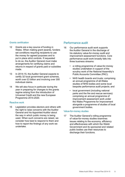#### Grants certification

- 12 Grants are a key source of funding in Wales. When making grant awards, funders set conditions requiring recipients to use the money for agreed purposes and to put in place strict controls. If requested to do so, the Auditor General must make arrangements for certifying claims and returns in respect of grants paid or subsidies made.
- 13 In 2014-15, the Auditor General expects to certify 32 local government grant schemes, worth over £3 billion and involving over 300 individual claims.
- 14 We will also focus in particular during the year in preparing for changes to the grants regime arising from the introduction of Universal Credit and the new European Programme 2014-2020.

#### Reactive work

15 Legislation provides electors and others with the right to raise concerns with the Auditor General and his Appointed Auditor about the way in which public money is being used. When such concerns are raised, we consider how best to respond to them and how to report the findings of any work we undertake.

#### Performance audit

- 16 Our performance audit work supports the Auditor General in the discharge of his statutory value-for-money audit and improvement assessment functions. Core performance audit work broadly falls into three business streams:
	- a rolling programme of value-for-money studies undertaken in support of the scrutiny work of the National Assembly's Public Accounts Committee (PAC);
	- NHS health boards and trusts: comprising an annual programme of all-Wales studies of NHS bodies and some local bespoke performance audit projects; and
	- local government (including national parks and the fire and rescue services): comprising an annual programme of improvement assessment work under the Wales Programme for Improvement alongside a programme of studies of local government bodies.

#### Value-for-money studies

17 The Auditor General's rolling programme of value-for-money studies examines issues relating to the economy, efficiency and effectiveness with which the Welsh Government and its sponsored and related public bodies use their resources to discharge their functions.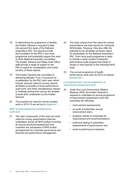- 18 In determining his programme of studies, the Auditor General is required to take into account the views of the National Assembly's PAC. His reports provide the foundation for the PAC's own work programme and potentially support the work of other National Assembly committees. The Auditor General and Wales Audit Office staff provide a range of support to the PAC to assist its consideration and further scrutiny of these reports.
- 19 The Auditor General has committed to delivering between 10 to 12 products for consideration by the PAC each year, which include: planned value-for-money reports; all-Wales summaries of local performance audit work; and other miscellaneous reports or briefings arising from across the breadth of audit work undertaken by the Auditor General.
- 20 The priorities for value-for-money studies work in 2014-15 are set out in Appendix 1.

#### NHS: annual programme of performance audit work

21 The main components of this work are local value-for-money examinations (that are undertaken across all NHS bodies) including an annual structured assessment that considers the robustness of NHS bodies' arrangements for corporate governance and financial and performance management.

- 22 The main outputs from the value-for-money examinations are local reports for individual NHS bodies. However, they also offer the potential for an all-Wales summary report for presentation to the National Assembly's PAC. Each local audit programme is likely to include a small number of bespoke performance audit projects that relate to issues or risks specific to the individual NHS body.
- 23 The annual programme of health performance audit work for 2014 is outlined in Appendix 1.

#### Local government: annual programme of improvement assessment work

- 24 Under the Local Government (Wales) Measure 2009, the Auditor General is required to undertake an annual programme of improvement assessment work that comprises the following:
	- improvement assessments;
	- an audit of authorities' annual improvement plans;
	- progress checks on proposals for improvement and recommendations;
	- audit and testing of authorities' assessments of performance; and
	- audit of performance indicators.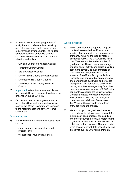- 25 In addition to this annual programme of work, the Auditor General is undertaking cyclical in-depth corporate assessments of governance arrangements. The Auditor General intends to undertake six such corporate assessments in 2014-15 at the following authorities:
	- City and County of Swansea Council
	- Flintshire County Council
	- Isle of Anglesey Council
	- Merthyr Tydfil County Borough Council
	- Monmouthshire County Council
	- Neath Port Talbot County Borough Council
- 26 Appendix 1 sets out a summary of planned and potential local government studies to be undertaken during 2014-15.
- 27 Our planned work in local government in particular will be kept under review as we monitor the Welsh Government's response to the recommendations of the Williams Commission.

#### Cross-cutting work

- 28 We also carry out further cross-cutting work such as:
	- identifying and disseminating good practice; and
	- the National Fraud Initiative (NFI).

#### Good practice

- 29 The Auditor General's approach to good practice involves the identification and sharing of good practice through a number of means, including the Good Practice Exchange (GPX). The GPX website hosts over 550 case studies and examples of good practice. These cover a wide range of public sector activity and topics including fleet management, delayed transfers of care and the management of sickness absence. The GPX is fed by the Auditor General's and appointed auditors' financial and performance audit work and provides examples of how our audited bodies are dealing with the challenges they face. The website receives an average of 3,000 visits per month. Alongside the GPX the Auditor General facilitates knowledge exchange through shared learning seminars, which bring together individuals from across the Welsh public service to share their knowledge and experience.
- 30 We also support the goodpracticewales. com portal which allows users to search for examples of good practice, case studies and other documents from 20 improvement organisations and other bodies involved in public sector improvement. This web portal gives access to over 3,000 case studies and it receives over 10,000 visits per month.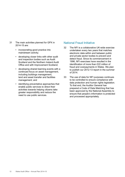- 31 The main activities planned for GPX in 2014-15 are:
	- incorporating good practice into mainstream activity;
	- developing closer links with other audit and inspection bodies such as Audit Scotland and the Northern Ireland Audit Office and with Improvement Scotland;
	- developing shared learning events with a continued focus on asset management, including buildings management, land and asset transfer and facilities management; and
	- identifying preventative approaches that enable public services to direct their activities towards helping citizens take greater responsibility and reduce the need to use public services.

#### National Fraud Initiative

- 32 The NFI is a collaborative UK-wide exercise undertaken every two years that matches electronic data within and between public and private sector bodies to prevent and detect fraud. Since its commencement in 1996, NFI exercises have resulted in the identification of more than £22 million of fraud and overpayments in Wales. We plan to publish our 2012-13 report in the summer of 2014.
- 33 The use of data for NFI purposes continues to be controlled to ensure compliance with data protection and human rights legislation. To that end, the Auditor General has prepared a Code of Data Matching that has been approved by the National Assembly to ensure that people's information is protected and processed appropriately.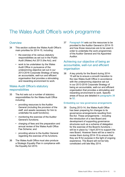# The Wales Audit Office's work programme

#### **Overview**

- 34 This section outlines the Wales Audit Office's main priorities for 2014-15, including:
	- the exercise of its various statutory responsibilities as set out in the Public Audit (Wales) Act 2013 (the Act); and
	- work to be undertaken by the Wales Audit Office in pursuance of the underpinning objective set out in our 2013-2016 Corporate Strategy of being an accountable, well-run and efficient organisation that provides a stimulating and rewarding environment to work.

#### Wales Audit Office's statutory responsibilities

- 35 The Act sets out a number of statutory responsibilities for the Wales Audit Office including:
	- providing resources to the Auditor General (including the provision of the staff, and assets necessary for him to undertake his audit functions);
	- monitoring the exercise of the Auditor General's functions;
	- charging of fees and the preparation and annual review of the Wales Audit Office Fee Scheme; and
	- providing advice to the Auditor General regarding the exercise of his functions.
- 36 The Wales Audit Office must also produce a Strategic Equality Plan in compliance with the Equality Act 2010.

37 Paragraph 64 sets out the resources to be provided to the Auditor General in 2014-15 and how those resources are to be used in order to undertake the work programmes of the Auditor General and his Appointed Auditor.

#### Achieving our objective of being an accountable, well-run and efficient organisation

38 A key priority for the Board during 2014- 15 will be to ensure a smooth transition to the new Wales Audit Office in accordance with the underpinning objective set out in our 2013-2016 Corporate Strategy of being an accountable, well-run and efficient organisation that provides a stimulating and rewarding environment to work. Specific areas of focus are detailed in paragraphs 39 to 52.

#### Embedding our new governance arrangements

39 During 2013-14, the Wales Audit Office has been preparing for changes to its governance arrangements resulting from the Act. These arrangements – including the introduction of a new Board and development of supporting governance structures such as a scheme of delegation for the exercise of the Board's functions – will be in place by 1 April 2014 to support the new Board. However there will be a need to review them during 2014-15 to ensure that they are fit for purpose in the light of ongoing experience. The Board will not be fully constituted until late May 2014.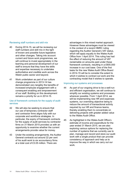#### Reviewing staff numbers and skill mix

- 40 During 2014-15, we will be reviewing our staff numbers and skill mix in the light of known and possible future legislative and other changes. Taking into account current and future work programmes, we will continue to invest appropriately in the learning and personal development of our staff to ensure that they have the skills and expertise necessary to undertake authoritative and credible work across the Welsh public sector and beyond.
- 41 Work undertaken as part of our culture change programme in 2013-14 has demonstrated very tangibly the benefits of increased employee engagement with a consequent enabling and empowerment of our staff. Building on this development remains a priority for us in 2014-15.

#### Use of framework contracts for the supply of audit services

- 42 We will also be seeking to ensure that our use of temporary contractor staff and contractor firms aligns fully with our corporate and workforce strategies. In particular, the expiry of framework contracts for the supply of audit services by contractor firms on 31 March 2015 provides us with an opportunity to examine whether the current arrangements provide value for money.
- 43 Under the existing arrangements, the Auditor General contracts out around 22 per cent of his audit work to six accountancy firms at a total cost of £3.05 million. There are

advantages in this mixed market approach. However these advantages must be viewed in the context of a recent HMRC ruling regarding the Auditor General's VAT status, which will apply equally to the Wales Audit Office from 1 April 2014. This ruling has had the effect of reducing the amount of VAT reclaimable on amounts paid under these framework contracts, resulting in a £600,000 increase in our cost base. One of the first tasks for the new Wales Audit Office Board in 2014-15 will be to consider the extent to which it wishes to contract out work and the contracting model that it wishes to operate.

#### Improving our systems and processes

- 44 As part of our ongoing drive to be a well-run and efficient organisation, we will continue to simplify our existing systems and processes wherever possible. From 1 April 2014, we will be implementing new HR and expenses systems, our overriding objective being to reduce the amount of transactional activity required by our HR and finance teams, thereby enabling them to concentrate on delivering projects with greater added value to the Wales Audit Office.
- 45 As highlighted in the Wales Audit Office's estimate of income and expenditure for the year ended 31 March 2015, we are also exploring various options for replacing the number of systems that we currently use to plan, manage and record and store our audit work with a single product that can provide consistency of approach and help us to improve the way in which we carry out our work.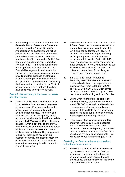46 Responding to issues raised in the Auditor General's Annual Governance Statements included within the Auditor General's Annual Report and Accounts, we will be further refining our financial management information to ensure that it meets the requirements of the new Wales Audit Office Board and our Management Committee. Priorities in 2014-15 include updating our Standing Financial Instructions and our Financial Management Handbook in the light of the new governance arrangements, providing further guidance and training to staff regarding our systems for income recognition and procurement and advancing the timetable for production of our 2013-14 annual accounts by a further 10 working days compared to the previous year.

#### Create further efficiency in the use of our estate and other assets

47 During 2014-15, we will continue to invest in our estate with a view to making more efficient use of office space and ensuring better use of technology in line with identified good practice. The health and safety of our staff is a key priority for us, and we undertake regular health and safety reviews at all Wales Audit Office offices and locations within client sites to ensure that they are secure and meet health and safety minimum standard requirements. We will continue to undertake a rolling programme of training, testing and review of our business continuity and disaster recovery plans at Wales Audit Office premises to ensure that we are equipped to deal with issues if they occur.

- 48 The Wales Audit Office has maintained Level 4 Green Dragon environmental accreditation at our offices since first accredited in July 2012, and has performed well against a range of environmental targets including reducing our paper consumption, and reducing our total waste. During 2014-15, we aim to improve our performance against these targets still further, complementing our likely extended sustainable development duties and in readiness for applying for Level 5 Green Dragon accreditation.
- 49 In his 2012-13 Annual Report and Accounts, the Auditor General reported a continued reduction in our expenditure on business travel (from £223,606 in 2010- 11 to £197,284 in 2012-13). Much of this reduction has been achieved by increased use of videoconferencing and Lync facilities.
- 50 During 2014-15 therefore, as part of our ongoing efficiency programme, we plan to spend £98,000 investing in additional video conferencing equipment, upgrading our internet link to facilitate more efficient data transfer, replacing our existing servers and improving our data storage facilities.
- 51 Other potential efficiencies supported by improved technology include a possible move to electronic publication of our reports and interactive reporting on our new website, which will enhance users' ability to search and navigate such documents. This will be developed further during 2014-15.

#### Reviewing our fleet car scheme and travel and subsistence arrangements

52 Following a recent value-for-money review by our external auditors of our fleet car scheme and travel and subsistence car schemes we will be reviewing the cost effectiveness of both schemes in the light of any recommendations made.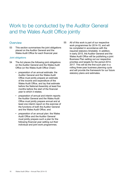# Work to be conducted by the Auditor General and the Wales Audit Office jointly

#### **Overview**

53 This section summarises the joint obligations placed on the Auditor General and the Wales Audit Office for each financial year.

#### Joint obligations

- 54 The Act places the following joint obligations on the Auditor General and the Wales Audit Office (or the Wales Audit Office Chair):
	- preparation of an annual estimate: the Auditor General and the Wales Audit Office must jointly prepare an estimate of the income and expenditure of the Wales Audit Office, and lay that estimate before the National Assembly at least five months before the start of the financial year to which it relates;
	- preparation of annual and interim reports: the Auditor General and the Wales Audit Office must jointly prepare annual and at least one interim report on the exercise of the functions of both the Auditor General and the Wales Audit Office; and
	- preparation of an annual plan: the Wales Audit Office and the Auditor General must jointly prepare such a plan for the following financial year setting out their individual and joint work programmes.

55 All of this work is part of our respective work programmes for 2014-15, and will be completed in accordance with the required statutory timetable. In addition, in early 2015, the Auditor General and the Wales Audit Office will be publishing a joint Business Plan setting out our respective priorities and targets for the period 2014- 2017. This will be the first such plan in a rolling three-year business planning cycle and will provide the framework for our future statutory plans and estimates.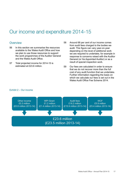### Our income and expenditure 2014-15

#### **Overview**

- 56 In this section we summarise the resources available to the Wales Audit Office and how we plan to use those resources to support the work programmes of the Auditor General and the Wales Audit Office.
- 57 Total projected income for 2014-15 is estimated at £23.6 million.

58 Around 68 per cent of our income comes from audit fees charged to the bodies we audit. This figure can vary year-on-year depending on the level of additional work we are required to undertake, for example in response to concerns raised with the Auditor General (or his Appointed Auditor) or as a result of special inspection work.

59 Our fees are calculated in order to ensure that we do not recover more than the full cost of any audit function that we undertake. Further information regarding the basis on which we calculate our fees is set out in the Wales Audit Office Fee Scheme 2014.

#### Exhibit 2 – Our income

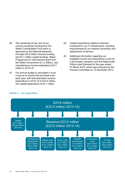- 60 The remaining 32 per cent of our income comprises funding from the Welsh Consolidated Fund which is approved by the National Assembly annually (£5.8 million revenue funding and £0.1 million capital funding), Wales Programme for Improvement grant from the Welsh Government (£1.2 million), and miscellaneous income estimated at £0.3 million in 2014-15.
- 61 Our annual budget is calculated in such a way as to ensure that we break even each year, with total estimated revenue expenditure in 2014-15 of £23.5 million, and capital expenditure of £0.1 million.
- 62 Capital expenditure relates to planned investment in our IT infrastructure, including improvements to our internet connection and replacement of servers.
- 63 Additional information regarding our budgeted income and expenditure is set out in the Auditor General's and the Wales Audit Office's joint Estimate for the year ended 31 March 2015, which was endorsed by the Finance Committee on 13 November 2013.



#### Exhibit 3 – Our expenditure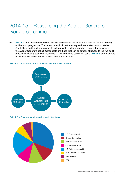# 2014-15 – Resourcing the Auditor General's work programme

64 Exhibit 4 provides a breakdown of the resources made available to the Auditor General to carry out his work programme. These resources include the salary and associated costs of Wales Audit Office audit staff and payments to the private sector firms which carry out audit work on the Auditor General's behalf. Other costs are those that can be directly attributed to the two audit practices including technical resources , I.T systems and publishing costs. Exhibit 5 demonstrates how these resources are allocated across audit functions .

#### Exhibit 4 – Resources made available to the Auditor General



Exhibit 5 – Resources allocated to audit functions

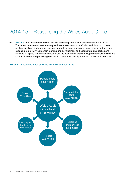### 2014-15 – Resourcing the Wales Audit Office

65 Exhibit 6 provides a breakdown of the resources required to support the Wales Audit Office. These resources comprise the salary and associated costs of staff who work in our corporate enabler functions and our audit trainees, as well as accommodation costs, capital and revenue expenditure on IT, investment in learning and development and expenditure on supplies and services. Supplies and services expenditure includes irrecoverable VAT, professional services and communications and publishing costs which cannot be directly attributed to the audit practices.

#### Exhibit 6 – Resources made available to the Wales Audit Office

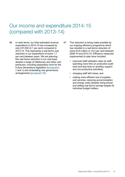# Our income and expenditure 2014-15 (compared with 2013-14)

- 66 In cash terms, our total estimated revenue expenditure in 2014-15 has increased by only £37,000 (0.1 per cent) compared to 2013-14. This represents a real terms cost reduction in our expenditure of some 1.7 per cent between years. We are planning this real terms reduction in our cost base despite a range of inflationary and other cost pressures, including preparatory work for the Future Generations legislation (paragraphs 2 and 3) and embedding new governance arrangements (paragraph 39).
- 67 This reduction is being made possible by our ongoing efficiency programme which has resulted in a real terms reduction of some £5.6 million or 19.3 per cent between 2009-10 and 2014-15. Efficiency measures implemented to date have included:
	- improved staff utilisation rates (ie staff spending more time on productive audit work and less time on ancillary support and non-productive activities);
	- changing staff skill mixes; and
	- making more efficient use of supplies and services, reducing accommodation and energy costs (despite rising prices) and setting real terms savings targets for individual budget holders.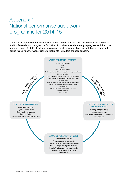# Appendix 1 National performance audit work programme for 2014-15

The following figure summarises the substantial body of national performance audit work within the Auditor General's work programme for 2014-15, much of which is already in progress and due to be reported during 2014-15. It includes a stream of reactive examinations, undertaken in response to issues raised with the Auditor General that relate to matters of public concern.